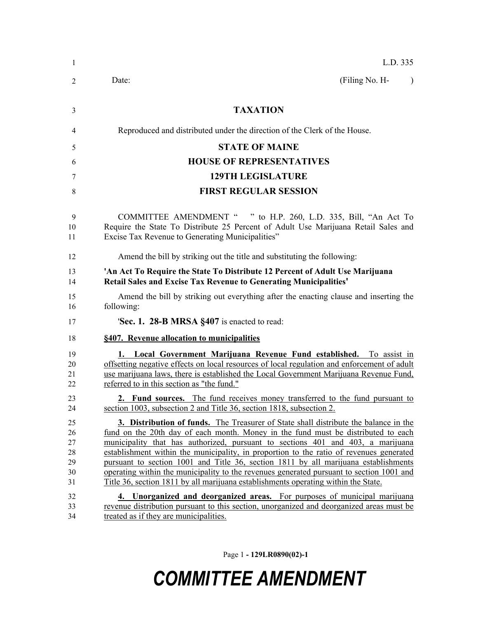| 1                                      | L.D. 335                                                                                                                                                                                                                                                                                                                                                                                                                                                                                                                                                                                                                         |
|----------------------------------------|----------------------------------------------------------------------------------------------------------------------------------------------------------------------------------------------------------------------------------------------------------------------------------------------------------------------------------------------------------------------------------------------------------------------------------------------------------------------------------------------------------------------------------------------------------------------------------------------------------------------------------|
| 2                                      | (Filing No. H-<br>Date:<br>$\lambda$                                                                                                                                                                                                                                                                                                                                                                                                                                                                                                                                                                                             |
| 3                                      | <b>TAXATION</b>                                                                                                                                                                                                                                                                                                                                                                                                                                                                                                                                                                                                                  |
| 4                                      | Reproduced and distributed under the direction of the Clerk of the House.                                                                                                                                                                                                                                                                                                                                                                                                                                                                                                                                                        |
| 5                                      | <b>STATE OF MAINE</b>                                                                                                                                                                                                                                                                                                                                                                                                                                                                                                                                                                                                            |
| 6                                      | <b>HOUSE OF REPRESENTATIVES</b>                                                                                                                                                                                                                                                                                                                                                                                                                                                                                                                                                                                                  |
| 7                                      | <b>129TH LEGISLATURE</b>                                                                                                                                                                                                                                                                                                                                                                                                                                                                                                                                                                                                         |
| 8                                      | <b>FIRST REGULAR SESSION</b>                                                                                                                                                                                                                                                                                                                                                                                                                                                                                                                                                                                                     |
| 9<br>10<br>11                          | COMMITTEE AMENDMENT " " to H.P. 260, L.D. 335, Bill, "An Act To<br>Require the State To Distribute 25 Percent of Adult Use Marijuana Retail Sales and<br>Excise Tax Revenue to Generating Municipalities"                                                                                                                                                                                                                                                                                                                                                                                                                        |
| 12                                     | Amend the bill by striking out the title and substituting the following:                                                                                                                                                                                                                                                                                                                                                                                                                                                                                                                                                         |
| 13<br>14                               | 'An Act To Require the State To Distribute 12 Percent of Adult Use Marijuana<br><b>Retail Sales and Excise Tax Revenue to Generating Municipalities'</b>                                                                                                                                                                                                                                                                                                                                                                                                                                                                         |
| 15<br>16                               | Amend the bill by striking out everything after the enacting clause and inserting the<br>following:                                                                                                                                                                                                                                                                                                                                                                                                                                                                                                                              |
| 17                                     | 'Sec. 1. 28-B MRSA §407 is enacted to read:                                                                                                                                                                                                                                                                                                                                                                                                                                                                                                                                                                                      |
| 18                                     | §407. Revenue allocation to municipalities                                                                                                                                                                                                                                                                                                                                                                                                                                                                                                                                                                                       |
| 19<br>20<br>21<br>22                   | 1. Local Government Marijuana Revenue Fund established. To assist in<br>offsetting negative effects on local resources of local regulation and enforcement of adult<br>use marijuana laws, there is established the Local Government Marijuana Revenue Fund,<br>referred to in this section as "the fund."                                                                                                                                                                                                                                                                                                                       |
| 23<br>24                               | <b>2. Fund sources.</b> The fund receives money transferred to the fund pursuant to<br>section 1003, subsection 2 and Title 36, section 1818, subsection 2.                                                                                                                                                                                                                                                                                                                                                                                                                                                                      |
| 25<br>26<br>27<br>28<br>29<br>30<br>31 | 3. Distribution of funds. The Treasurer of State shall distribute the balance in the<br>fund on the 20th day of each month. Money in the fund must be distributed to each<br>municipality that has authorized, pursuant to sections 401 and 403, a marijuana<br>establishment within the municipality, in proportion to the ratio of revenues generated<br>pursuant to section 1001 and Title 36, section 1811 by all marijuana establishments<br>operating within the municipality to the revenues generated pursuant to section 1001 and<br>Title 36, section 1811 by all marijuana establishments operating within the State. |
| 32<br>33<br>34                         | 4. Unorganized and deorganized areas. For purposes of municipal marijuana<br>revenue distribution pursuant to this section, unorganized and deorganized areas must be<br>treated as if they are municipalities.                                                                                                                                                                                                                                                                                                                                                                                                                  |

Page 1 **- 129LR0890(02)-1**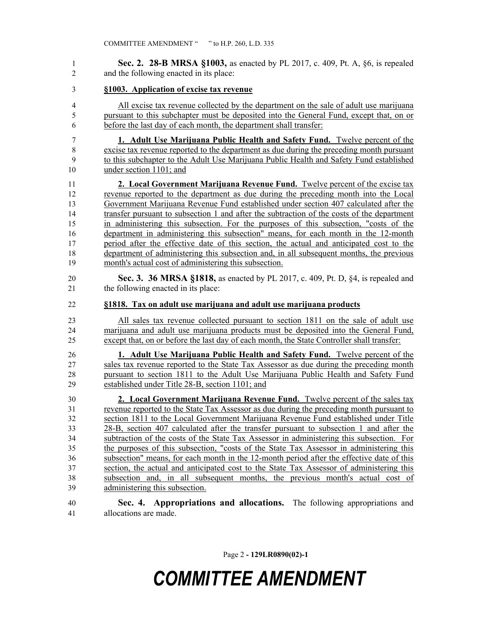**Sec. 2. 28-B MRSA §1003,** as enacted by PL 2017, c. 409, Pt. A, §6, is repealed and the following enacted in its place:

- **§1003. Application of excise tax revenue**
- All excise tax revenue collected by the department on the sale of adult use marijuana pursuant to this subchapter must be deposited into the General Fund, except that, on or before the last day of each month, the department shall transfer:

 **1. Adult Use Marijuana Public Health and Safety Fund.** Twelve percent of the excise tax revenue reported to the department as due during the preceding month pursuant to this subchapter to the Adult Use Marijuana Public Health and Safety Fund established under section 1101; and

 **2. Local Government Marijuana Revenue Fund.** Twelve percent of the excise tax revenue reported to the department as due during the preceding month into the Local Government Marijuana Revenue Fund established under section 407 calculated after the transfer pursuant to subsection 1 and after the subtraction of the costs of the department in administering this subsection. For the purposes of this subsection, "costs of the department in administering this subsection" means, for each month in the 12-month period after the effective date of this section, the actual and anticipated cost to the department of administering this subsection and, in all subsequent months, the previous month's actual cost of administering this subsection.

 **Sec. 3. 36 MRSA §1818,** as enacted by PL 2017, c. 409, Pt. D, §4, is repealed and 21 the following enacted in its place:

**§1818. Tax on adult use marijuana and adult use marijuana products**

 All sales tax revenue collected pursuant to section 1811 on the sale of adult use marijuana and adult use marijuana products must be deposited into the General Fund, except that, on or before the last day of each month, the State Controller shall transfer:

 **1. Adult Use Marijuana Public Health and Safety Fund.** Twelve percent of the sales tax revenue reported to the State Tax Assessor as due during the preceding month pursuant to section 1811 to the Adult Use Marijuana Public Health and Safety Fund established under Title 28-B, section 1101; and

 **2. Local Government Marijuana Revenue Fund.** Twelve percent of the sales tax revenue reported to the State Tax Assessor as due during the preceding month pursuant to section 1811 to the Local Government Marijuana Revenue Fund established under Title 28-B, section 407 calculated after the transfer pursuant to subsection 1 and after the subtraction of the costs of the State Tax Assessor in administering this subsection. For the purposes of this subsection, "costs of the State Tax Assessor in administering this subsection" means, for each month in the 12-month period after the effective date of this section, the actual and anticipated cost to the State Tax Assessor of administering this subsection and, in all subsequent months, the previous month's actual cost of administering this subsection.

 **Sec. 4. Appropriations and allocations.** The following appropriations and allocations are made.

Page 2 **- 129LR0890(02)-1**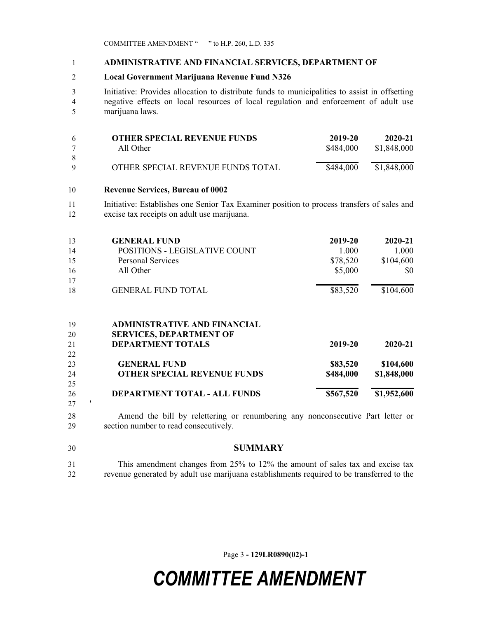COMMITTEE AMENDMENT " " to H.P. 260, L.D. 335

#### **ADMINISTRATIVE AND FINANCIAL SERVICES, DEPARTMENT OF**

### **Local Government Marijuana Revenue Fund N326**

 Initiative: Provides allocation to distribute funds to municipalities to assist in offsetting negative effects on local resources of local regulation and enforcement of adult use marijuana laws.

| -6 | <b>OTHER SPECIAL REVENUE FUNDS</b> | 2019-20   | 2020-21     |
|----|------------------------------------|-----------|-------------|
|    | All Other                          | \$484,000 | \$1,848,000 |
| -8 |                                    |           |             |
| Q  | OTHER SPECIAL REVENUE FUNDS TOTAL  | \$484,000 | \$1,848,000 |

### **Revenue Services, Bureau of 0002**

 Initiative: Establishes one Senior Tax Examiner position to process transfers of sales and excise tax receipts on adult use marijuana.

| 13 | <b>GENERAL FUND</b>           | 2019-20  | $2020 - 21$ |
|----|-------------------------------|----------|-------------|
| 14 | POSITIONS - LEGISLATIVE COUNT | 1.000    | 1.000       |
| 15 | <b>Personal Services</b>      | \$78,520 | \$104,600   |
| 16 | All Other                     | \$5,000  | \$0         |
| 17 |                               |          |             |
| 18 | <b>GENERAL FUND TOTAL</b>     | \$83,520 | \$104,600   |
|    |                               |          |             |

#### **ADMINISTRATIVE AND FINANCIAL**

| 20 | <b>SERVICES, DEPARTMENT OF</b>     |           |             |
|----|------------------------------------|-----------|-------------|
| 21 | <b>DEPARTMENT TOTALS</b>           | 2019-20   | 2020-21     |
| 22 |                                    |           |             |
| 23 | <b>GENERAL FUND</b>                | \$83,520  | \$104,600   |
| 24 | <b>OTHER SPECIAL REVENUE FUNDS</b> | \$484,000 | \$1,848,000 |
| 25 |                                    |           |             |
| 26 | DEPARTMENT TOTAL - ALL FUNDS       | \$567,520 | \$1,952,600 |
| 27 |                                    |           |             |

 Amend the bill by relettering or renumbering any nonconsecutive Part letter or section number to read consecutively.

 **SUMMARY** This amendment changes from 25% to 12% the amount of sales tax and excise tax

revenue generated by adult use marijuana establishments required to be transferred to the

Page 3 **- 129LR0890(02)-1**